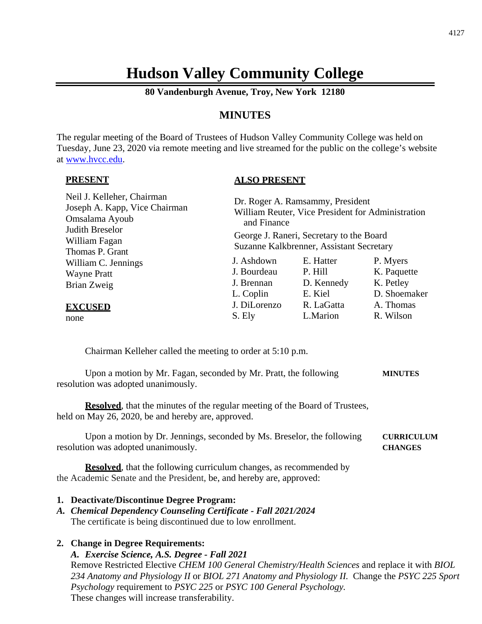# **Hudson Valley Community College**

**80 Vandenburgh Avenue, Troy, New York 12180**

# **MINUTES**

The regular meeting of the Board of Trustees of Hudson Valley Community College was held on Tuesday, June 23, 2020 via remote meeting and live streamed for the public on the college's website at [www.hvcc.edu.](http://www.hvcc.edu/)

#### **PRESENT**

#### **ALSO PRESENT**

| Neil J. Kelleher, Chairman<br>Joseph A. Kapp, Vice Chairman<br>Omsalama Ayoub<br>Judith Breselor<br>William Fagan | Dr. Roger A. Ramsammy, President<br>William Reuter, Vice President for Administration<br>and Finance<br>George J. Raneri, Secretary to the Board<br>Suzanne Kalkbrenner, Assistant Secretary |            |              |
|-------------------------------------------------------------------------------------------------------------------|----------------------------------------------------------------------------------------------------------------------------------------------------------------------------------------------|------------|--------------|
| Thomas P. Grant<br>William C. Jennings                                                                            | J. Ashdown                                                                                                                                                                                   | E. Hatter  | P. Myers     |
| <b>Wayne Pratt</b>                                                                                                | J. Bourdeau                                                                                                                                                                                  | P. Hill    | K. Paquette  |
| Brian Zweig                                                                                                       | J. Brennan                                                                                                                                                                                   | D. Kennedy | K. Petley    |
|                                                                                                                   | L. Coplin                                                                                                                                                                                    | E. Kiel    | D. Shoemaker |
| <b>EXCUSED</b>                                                                                                    | J. DiLorenzo                                                                                                                                                                                 | R. LaGatta | A. Thomas    |
| none                                                                                                              | S. Ely                                                                                                                                                                                       | L.Marion   | R. Wilson    |

Chairman Kelleher called the meeting to order at 5:10 p.m.

Upon a motion by Mr. Fagan, seconded by Mr. Pratt, the following **MINUTES** resolution was adopted unanimously.

**Resolved**, that the minutes of the regular meeting of the Board of Trustees, held on May 26, 2020, be and hereby are, approved.

Upon a motion by Dr. Jennings, seconded by Ms. Breselor, the following **CURRICULUM** resolution was adopted unanimously. **CHANGES**

**Resolved**, that the following curriculum changes, as recommended by the Academic Senate and the President, be, and hereby are, approved:

#### **1. Deactivate/Discontinue Degree Program:**

*A. Chemical Dependency Counseling Certificate - Fall 2021/2024* The certificate is being discontinued due to low enrollment.

#### **2. Change in Degree Requirements:**

*A. Exercise Science, A.S. Degree - Fall 2021*

Remove Restricted Elective *CHEM 100 General Chemistry/Health Sciences* and replace it with *BIOL 234 Anatomy and Physiology II* or *BIOL 271 Anatomy and Physiology II.* Change the *PSYC 225 Sport Psychology* requirement to *PSYC 225* or *PSYC 100 General Psychology.* These changes will increase transferability.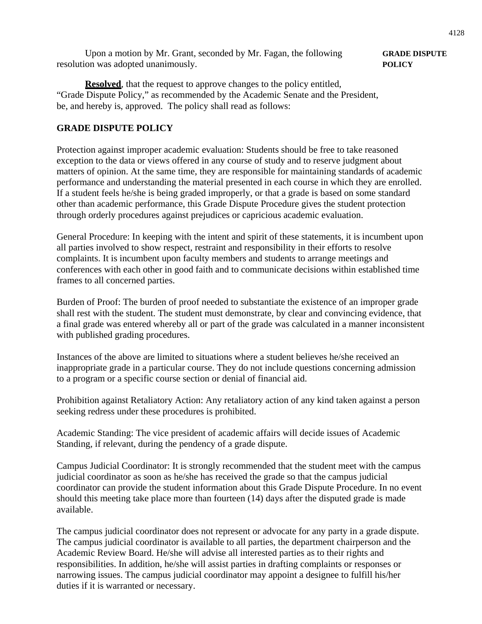Upon a motion by Mr. Grant, seconded by Mr. Fagan, the following **GRADE DISPUTE** resolution was adopted unanimously. **POLICY**

**Resolved**, that the request to approve changes to the policy entitled, "Grade Dispute Policy," as recommended by the Academic Senate and the President, be, and hereby is, approved. The policy shall read as follows:

# **GRADE DISPUTE POLICY**

Protection against improper academic evaluation: Students should be free to take reasoned exception to the data or views offered in any course of study and to reserve judgment about matters of opinion. At the same time, they are responsible for maintaining standards of academic performance and understanding the material presented in each course in which they are enrolled. If a student feels he/she is being graded improperly, or that a grade is based on some standard other than academic performance, this Grade Dispute Procedure gives the student protection through orderly procedures against prejudices or capricious academic evaluation.

General Procedure: In keeping with the intent and spirit of these statements, it is incumbent upon all parties involved to show respect, restraint and responsibility in their efforts to resolve complaints. It is incumbent upon faculty members and students to arrange meetings and conferences with each other in good faith and to communicate decisions within established time frames to all concerned parties.

Burden of Proof: The burden of proof needed to substantiate the existence of an improper grade shall rest with the student. The student must demonstrate, by clear and convincing evidence, that a final grade was entered whereby all or part of the grade was calculated in a manner inconsistent with published grading procedures.

Instances of the above are limited to situations where a student believes he/she received an inappropriate grade in a particular course. They do not include questions concerning admission to a program or a specific course section or denial of financial aid.

Prohibition against Retaliatory Action: Any retaliatory action of any kind taken against a person seeking redress under these procedures is prohibited.

Academic Standing: The vice president of academic affairs will decide issues of Academic Standing, if relevant, during the pendency of a grade dispute.

Campus Judicial Coordinator: It is strongly recommended that the student meet with the campus judicial coordinator as soon as he/she has received the grade so that the campus judicial coordinator can provide the student information about this Grade Dispute Procedure. In no event should this meeting take place more than fourteen (14) days after the disputed grade is made available.

The campus judicial coordinator does not represent or advocate for any party in a grade dispute. The campus judicial coordinator is available to all parties, the department chairperson and the Academic Review Board. He/she will advise all interested parties as to their rights and responsibilities. In addition, he/she will assist parties in drafting complaints or responses or narrowing issues. The campus judicial coordinator may appoint a designee to fulfill his/her duties if it is warranted or necessary.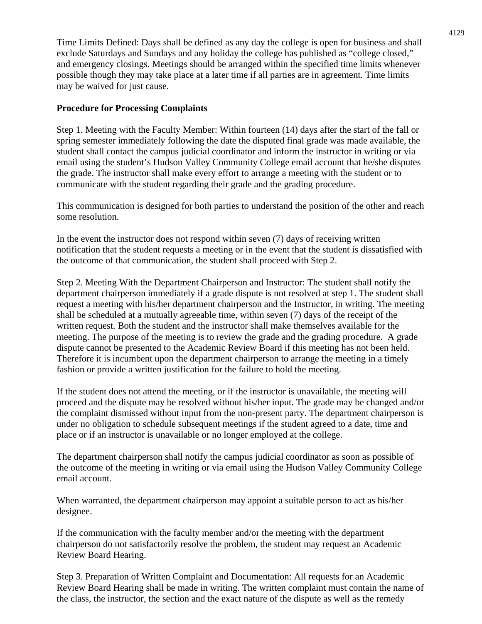Time Limits Defined: Days shall be defined as any day the college is open for business and shall exclude Saturdays and Sundays and any holiday the college has published as "college closed," and emergency closings. Meetings should be arranged within the specified time limits whenever possible though they may take place at a later time if all parties are in agreement. Time limits may be waived for just cause.

## **Procedure for Processing Complaints**

Step 1. Meeting with the Faculty Member: Within fourteen (14) days after the start of the fall or spring semester immediately following the date the disputed final grade was made available, the student shall contact the campus judicial coordinator and inform the instructor in writing or via email using the student's Hudson Valley Community College email account that he/she disputes the grade. The instructor shall make every effort to arrange a meeting with the student or to communicate with the student regarding their grade and the grading procedure.

This communication is designed for both parties to understand the position of the other and reach some resolution.

In the event the instructor does not respond within seven (7) days of receiving written notification that the student requests a meeting or in the event that the student is dissatisfied with the outcome of that communication, the student shall proceed with Step 2.

Step 2. Meeting With the Department Chairperson and Instructor: The student shall notify the department chairperson immediately if a grade dispute is not resolved at step 1. The student shall request a meeting with his/her department chairperson and the Instructor, in writing. The meeting shall be scheduled at a mutually agreeable time, within seven (7) days of the receipt of the written request. Both the student and the instructor shall make themselves available for the meeting. The purpose of the meeting is to review the grade and the grading procedure. A grade dispute cannot be presented to the Academic Review Board if this meeting has not been held. Therefore it is incumbent upon the department chairperson to arrange the meeting in a timely fashion or provide a written justification for the failure to hold the meeting.

If the student does not attend the meeting, or if the instructor is unavailable, the meeting will proceed and the dispute may be resolved without his/her input. The grade may be changed and/or the complaint dismissed without input from the non-present party. The department chairperson is under no obligation to schedule subsequent meetings if the student agreed to a date, time and place or if an instructor is unavailable or no longer employed at the college.

The department chairperson shall notify the campus judicial coordinator as soon as possible of the outcome of the meeting in writing or via email using the Hudson Valley Community College email account.

When warranted, the department chairperson may appoint a suitable person to act as his/her designee.

If the communication with the faculty member and/or the meeting with the department chairperson do not satisfactorily resolve the problem, the student may request an Academic Review Board Hearing.

Step 3. Preparation of Written Complaint and Documentation: All requests for an Academic Review Board Hearing shall be made in writing. The written complaint must contain the name of the class, the instructor, the section and the exact nature of the dispute as well as the remedy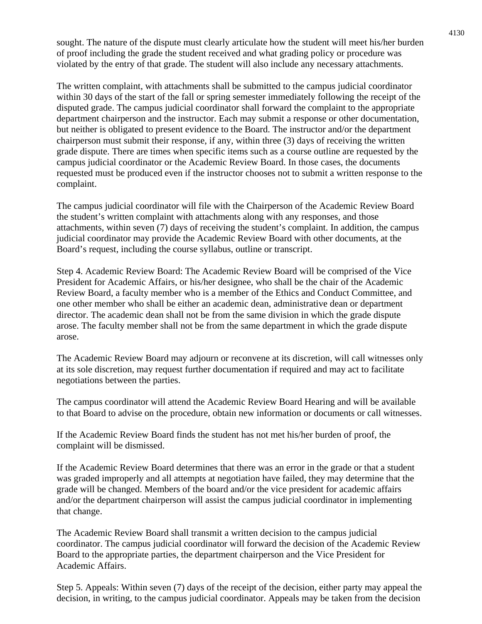sought. The nature of the dispute must clearly articulate how the student will meet his/her burden of proof including the grade the student received and what grading policy or procedure was violated by the entry of that grade. The student will also include any necessary attachments.

The written complaint, with attachments shall be submitted to the campus judicial coordinator within 30 days of the start of the fall or spring semester immediately following the receipt of the disputed grade. The campus judicial coordinator shall forward the complaint to the appropriate department chairperson and the instructor. Each may submit a response or other documentation, but neither is obligated to present evidence to the Board. The instructor and/or the department chairperson must submit their response, if any, within three (3) days of receiving the written grade dispute. There are times when specific items such as a course outline are requested by the campus judicial coordinator or the Academic Review Board. In those cases, the documents requested must be produced even if the instructor chooses not to submit a written response to the complaint.

The campus judicial coordinator will file with the Chairperson of the Academic Review Board the student's written complaint with attachments along with any responses, and those attachments, within seven (7) days of receiving the student's complaint. In addition, the campus judicial coordinator may provide the Academic Review Board with other documents, at the Board's request, including the course syllabus, outline or transcript.

Step 4. Academic Review Board: The Academic Review Board will be comprised of the Vice President for Academic Affairs, or his/her designee, who shall be the chair of the Academic Review Board, a faculty member who is a member of the Ethics and Conduct Committee, and one other member who shall be either an academic dean, administrative dean or department director. The academic dean shall not be from the same division in which the grade dispute arose. The faculty member shall not be from the same department in which the grade dispute arose.

The Academic Review Board may adjourn or reconvene at its discretion, will call witnesses only at its sole discretion, may request further documentation if required and may act to facilitate negotiations between the parties.

The campus coordinator will attend the Academic Review Board Hearing and will be available to that Board to advise on the procedure, obtain new information or documents or call witnesses.

If the Academic Review Board finds the student has not met his/her burden of proof, the complaint will be dismissed.

If the Academic Review Board determines that there was an error in the grade or that a student was graded improperly and all attempts at negotiation have failed, they may determine that the grade will be changed. Members of the board and/or the vice president for academic affairs and/or the department chairperson will assist the campus judicial coordinator in implementing that change.

The Academic Review Board shall transmit a written decision to the campus judicial coordinator. The campus judicial coordinator will forward the decision of the Academic Review Board to the appropriate parties, the department chairperson and the Vice President for Academic Affairs.

Step 5. Appeals: Within seven (7) days of the receipt of the decision, either party may appeal the decision, in writing, to the campus judicial coordinator. Appeals may be taken from the decision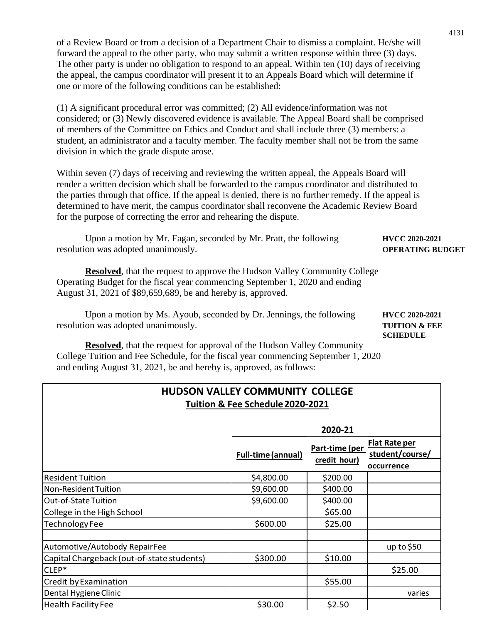of a Review Board or from a decision of a Department Chair to dismiss a complaint. He/she will forward the appeal to the other party, who may submit a written response within three (3) days. The other party is under no obligation to respond to an appeal. Within ten (10) days of receiving the appeal, the campus coordinator will present it to an Appeals Board which will determine if one or more of the following conditions can be established:

(1) A significant procedural error was committed; (2) All evidence/information was not considered; or (3) Newly discovered evidence is available. The Appeal Board shall be comprised of members of the Committee on Ethics and Conduct and shall include three (3) members: a student, an administrator and a faculty member. The faculty member shall not be from the same division in which the grade dispute arose.

Within seven (7) days of receiving and reviewing the written appeal, the Appeals Board will render a written decision which shall be forwarded to the campus coordinator and distributed to the parties through that office. If the appeal is denied, there is no further remedy. If the appeal is determined to have merit, the campus coordinator shall reconvene the Academic Review Board for the purpose of correcting the error and rehearing the dispute.

Upon a motion by Mr. Fagan, seconded by Mr. Pratt, the following **HVCC 2020-2021** resolution was adopted unanimously. **OPERATING BUDGET**

**Resolved**, that the request to approve the Hudson Valley Community College Operating Budget for the fiscal year commencing September 1, 2020 and ending August 31, 2021 of \$89,659,689, be and hereby is, approved.

Upon a motion by Ms. Ayoub, seconded by Dr. Jennings, the following **HVCC 2020-2021** resolution was adopted unanimously. **TUITION & FEE**

**SCHEDULE**

**Resolved**, that the request for approval of the Hudson Valley Community College Tuition and Fee Schedule, for the fiscal year commencing September 1, 2020 and ending August 31, 2021, be and hereby is, approved, as follows:

| <b>HUDSON VALLEY COMMUNITY COLLEGE</b><br>Tuition & Fee Schedule 2020-2021 |                           |                                |                                         |
|----------------------------------------------------------------------------|---------------------------|--------------------------------|-----------------------------------------|
|                                                                            |                           | 2020-21                        |                                         |
|                                                                            | <b>Full-time (annual)</b> | Part-time (per<br>credit hour) | <b>Flat Rate per</b><br>student/course/ |
|                                                                            |                           |                                | occurrence                              |
| <b>Resident Tuition</b>                                                    | \$4,800.00                | \$200.00                       |                                         |
| Non-Resident Tuition                                                       | \$9,600.00                | \$400.00                       |                                         |
| Out-of-State Tuition                                                       | \$9,600.00                | \$400.00                       |                                         |
| College in the High School                                                 |                           | \$65.00                        |                                         |
| <b>Technology Fee</b>                                                      | \$600.00                  | \$25.00                        |                                         |
|                                                                            |                           |                                |                                         |
| Automotive/Autobody RepairFee                                              |                           |                                | up to $$50$                             |
| Capital Chargeback (out-of-state students)                                 | \$300.00                  | \$10.00                        |                                         |
| CLEP*                                                                      |                           |                                | \$25.00                                 |
| <b>Credit by Examination</b>                                               |                           | \$55.00                        |                                         |
| Dental Hygiene Clinic                                                      |                           |                                | varies                                  |
| <b>Health Facility Fee</b>                                                 | \$30.00                   | \$2.50                         |                                         |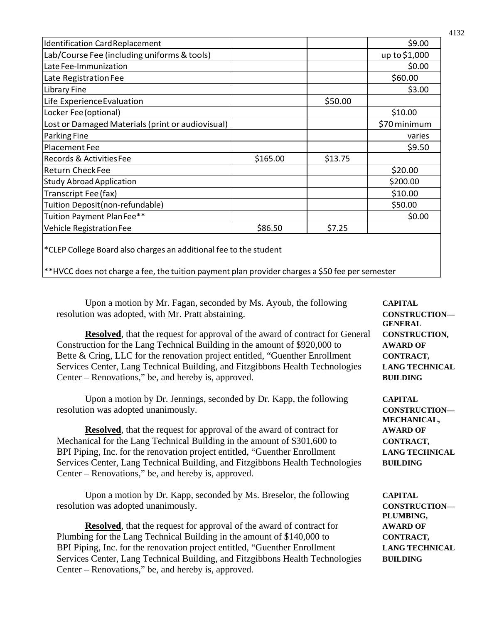| <b>Identification Card Replacement</b>                                                                                                                               |          |         | \$9.00        |
|----------------------------------------------------------------------------------------------------------------------------------------------------------------------|----------|---------|---------------|
| Lab/Course Fee (including uniforms & tools)                                                                                                                          |          |         | up to \$1,000 |
| Late Fee-Immunization                                                                                                                                                |          |         | \$0.00        |
| Late Registration Fee                                                                                                                                                |          |         | \$60.00       |
| Library Fine                                                                                                                                                         |          |         | \$3.00        |
| Life Experience Evaluation                                                                                                                                           |          | \$50.00 |               |
| Locker Fee (optional)                                                                                                                                                |          |         | \$10.00       |
| Lost or Damaged Materials (print or audiovisual)                                                                                                                     |          |         | \$70 minimum  |
| Parking Fine                                                                                                                                                         |          |         | varies        |
| Placement Fee                                                                                                                                                        |          |         | \$9.50        |
| Records & Activities Fee                                                                                                                                             | \$165.00 | \$13.75 |               |
| <b>Return Check Fee</b>                                                                                                                                              |          |         | \$20.00       |
| <b>Study Abroad Application</b>                                                                                                                                      |          |         | \$200.00      |
| Transcript Fee (fax)                                                                                                                                                 |          |         | \$10.00       |
| Tuition Deposit (non-refundable)                                                                                                                                     |          |         | \$50.00       |
| Tuition Payment Plan Fee**                                                                                                                                           |          |         | \$0.00        |
| Vehicle Registration Fee                                                                                                                                             | \$86.50  | \$7.25  |               |
| *CLEP College Board also charges an additional fee to the student<br>**HVCC does not charge a fee, the tuition payment plan provider charges a \$50 fee per semester |          |         |               |
|                                                                                                                                                                      |          |         |               |

Upon a motion by Mr. Fagan, seconded by Ms. Ayoub, the following **CAPITAL** resolution was adopted, with Mr. Pratt abstaining. **CONSTRUCTION—**

**Resolved**, that the request for approval of the award of contract for General **CONSTRUCTION**, Construction for the Lang Technical Building in the amount of \$920,000 to **AWARD OF** Bette & Cring, LLC for the renovation project entitled, "Guenther Enrollment **CONTRACT**, Services Center, Lang Technical Building, and Fitzgibbons Health Technologies **LANG TECHNICAL** Center – Renovations," be, and hereby is, approved. **BUILDING**

Upon a motion by Dr. Jennings, seconded by Dr. Kapp, the following **CAPITAL** resolution was adopted unanimously. **CONSTRUCTION—**

**Resolved**, that the request for approval of the award of contract for **AWARD OF** Mechanical for the Lang Technical Building in the amount of \$301,600 to **CONTRACT**, BPI Piping, Inc. for the renovation project entitled, "Guenther Enrollment **LANG TECHNICAL** Services Center, Lang Technical Building, and Fitzgibbons Health Technologies **BUILDING** Center – Renovations," be, and hereby is, approved.

Upon a motion by Dr. Kapp, seconded by Ms. Breselor, the following **CAPITAL** resolution was adopted unanimously. **CONSTRUCTION—**

**Resolved**, that the request for approval of the award of contract for **AWARD OF** Plumbing for the Lang Technical Building in the amount of \$140,000 to **CONTRACT,** BPI Piping, Inc. for the renovation project entitled, "Guenther Enrollment **LANG TECHNICAL** Services Center, Lang Technical Building, and Fitzgibbons Health Technologies **BUILDING** Center – Renovations," be, and hereby is, approved.

**GENERAL** 

**MECHANICAL,** 

**PLUMBING,**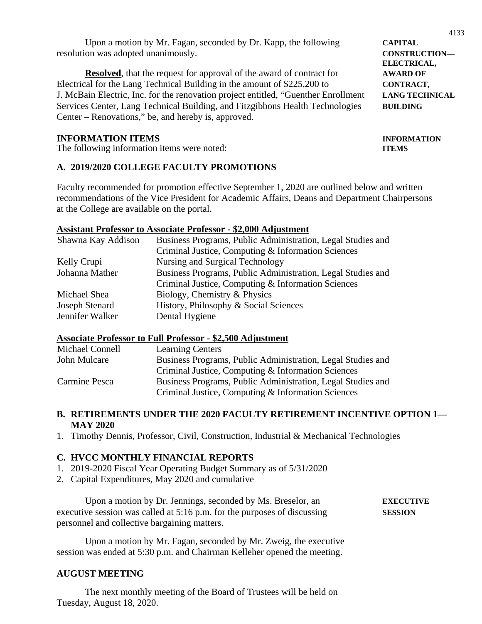| Upon a motion by Mr. Fagan, seconded by Dr. Kapp, the following | <b>CAPITAL</b>       |
|-----------------------------------------------------------------|----------------------|
| resolution was adopted unanimously.                             | <b>CONSTRUCTION—</b> |

**Resolved**, that the request for approval of the award of contract for **AWARD OF** Electrical for the Lang Technical Building in the amount of \$225,200 to **CONTRACT,** J. McBain Electric, Inc. for the renovation project entitled, "Guenther Enrollment **LANG TECHNICAL** Services Center, Lang Technical Building, and Fitzgibbons Health Technologies **BUILDING** Center – Renovations," be, and hereby is, approved.

#### **INFORMATION ITEMS INFORMATION**

The following information items were noted: **ITEMS**

### **A. 2019/2020 COLLEGE FACULTY PROMOTIONS**

Faculty recommended for promotion effective September 1, 2020 are outlined below and written recommendations of the Vice President for Academic Affairs, Deans and Department Chairpersons at the College are available on the portal.

#### **Assistant Professor to Associate Professor - \$2,000 Adjustment**

| Shawna Kay Addison | Business Programs, Public Administration, Legal Studies and |
|--------------------|-------------------------------------------------------------|
|                    | Criminal Justice, Computing & Information Sciences          |
| Kelly Crupi        | Nursing and Surgical Technology                             |
| Johanna Mather     | Business Programs, Public Administration, Legal Studies and |
|                    | Criminal Justice, Computing & Information Sciences          |
| Michael Shea       | Biology, Chemistry & Physics                                |
| Joseph Stenard     | History, Philosophy & Social Sciences                       |
| Jennifer Walker    | Dental Hygiene                                              |

#### **Associate Professor to Full Professor - \$2,500 Adjustment**

| Michael Connell | <b>Learning Centers</b>                                     |
|-----------------|-------------------------------------------------------------|
| John Mulcare    | Business Programs, Public Administration, Legal Studies and |
|                 | Criminal Justice, Computing & Information Sciences          |
| Carmine Pesca   | Business Programs, Public Administration, Legal Studies and |
|                 | Criminal Justice, Computing & Information Sciences          |

#### **B. RETIREMENTS UNDER THE 2020 FACULTY RETIREMENT INCENTIVE OPTION 1— MAY 2020**

1. Timothy Dennis, Professor, Civil, Construction, Industrial & Mechanical Technologies

#### **C. HVCC MONTHLY FINANCIAL REPORTS**

- 1. 2019-2020 Fiscal Year Operating Budget Summary as of 5/31/2020
- 2. Capital Expenditures, May 2020 and cumulative

Upon a motion by Dr. Jennings, seconded by Ms. Breselor, an **EXECUTIVE** executive session was called at 5:16 p.m. for the purposes of discussing **SESSION** personnel and collective bargaining matters.

Upon a motion by Mr. Fagan, seconded by Mr. Zweig, the executive session was ended at 5:30 p.m. and Chairman Kelleher opened the meeting.

# **AUGUST MEETING**

The next monthly meeting of the Board of Trustees will be held on Tuesday, August 18, 2020.